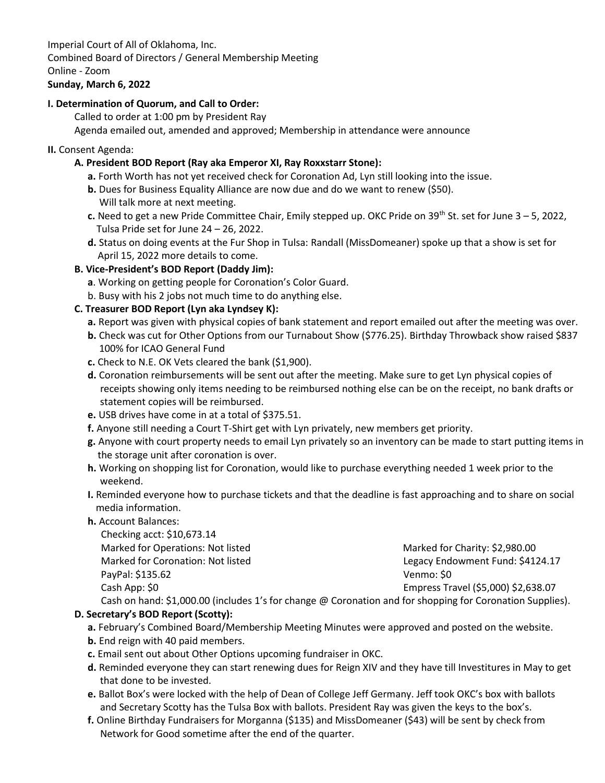Imperial Court of All of Oklahoma, Inc. Combined Board of Directors / General Membership Meeting Online - Zoom

# **Sunday, March 6, 2022**

# **I. Determination of Quorum, and Call to Order:**

Called to order at 1:00 pm by President Ray

Agenda emailed out, amended and approved; Membership in attendance were announce

#### **II.** Consent Agenda:

## **A. President BOD Report (Ray aka Emperor XI, Ray Roxxstarr Stone):**

- **a.** Forth Worth has not yet received check for Coronation Ad, Lyn still looking into the issue.
- **b.** Dues for Business Equality Alliance are now due and do we want to renew (\$50). Will talk more at next meeting.
- **c.** Need to get a new Pride Committee Chair, Emily stepped up. OKC Pride on 39<sup>th</sup> St. set for June 3 5, 2022, Tulsa Pride set for June 24 – 26, 2022.
- **d.** Status on doing events at the Fur Shop in Tulsa: Randall (MissDomeaner) spoke up that a show is set for April 15, 2022 more details to come.

## **B. Vice-President's BOD Report (Daddy Jim):**

- **a**. Working on getting people for Coronation's Color Guard.
- b. Busy with his 2 jobs not much time to do anything else.

# **C. Treasurer BOD Report (Lyn aka Lyndsey K):**

- **a.** Report was given with physical copies of bank statement and report emailed out after the meeting was over.
- **b.** Check was cut for Other Options from our Turnabout Show (\$776.25). Birthday Throwback show raised \$837 100% for ICAO General Fund
- **c.** Check to N.E. OK Vets cleared the bank (\$1,900).
- **d.** Coronation reimbursements will be sent out after the meeting. Make sure to get Lyn physical copies of receipts showing only items needing to be reimbursed nothing else can be on the receipt, no bank drafts or statement copies will be reimbursed.
- **e.** USB drives have come in at a total of \$375.51.
- **f.** Anyone still needing a Court T-Shirt get with Lyn privately, new members get priority.
- **g.** Anyone with court property needs to email Lyn privately so an inventory can be made to start putting items in the storage unit after coronation is over.
- **h.** Working on shopping list for Coronation, would like to purchase everything needed 1 week prior to the weekend.
- **I.** Reminded everyone how to purchase tickets and that the deadline is fast approaching and to share on social media information.
- **h.** Account Balances:

Checking acct: \$10,673.14 Marked for Operations: Not listed Marked For Charity: \$2,980.00 Marked for Coronation: Not listed Legacy Endowment Fund: \$4124.17 PayPal: \$135.62 Venmo: \$0 Cash App: \$0 Empress Travel (\$5,000) \$2,638.07

Cash on hand: \$1,000.00 (includes 1's for change @ Coronation and for shopping for Coronation Supplies).

## **D. Secretary's BOD Report (Scotty):**

- **a.** February's Combined Board/Membership Meeting Minutes were approved and posted on the website.
- **b.** End reign with 40 paid members.
- **c.** Email sent out about Other Options upcoming fundraiser in OKC.
- **d.** Reminded everyone they can start renewing dues for Reign XIV and they have till Investitures in May to get that done to be invested.
- **e.** Ballot Box's were locked with the help of Dean of College Jeff Germany. Jeff took OKC's box with ballots and Secretary Scotty has the Tulsa Box with ballots. President Ray was given the keys to the box's.
- **f.** Online Birthday Fundraisers for Morganna (\$135) and MissDomeaner (\$43) will be sent by check from Network for Good sometime after the end of the quarter.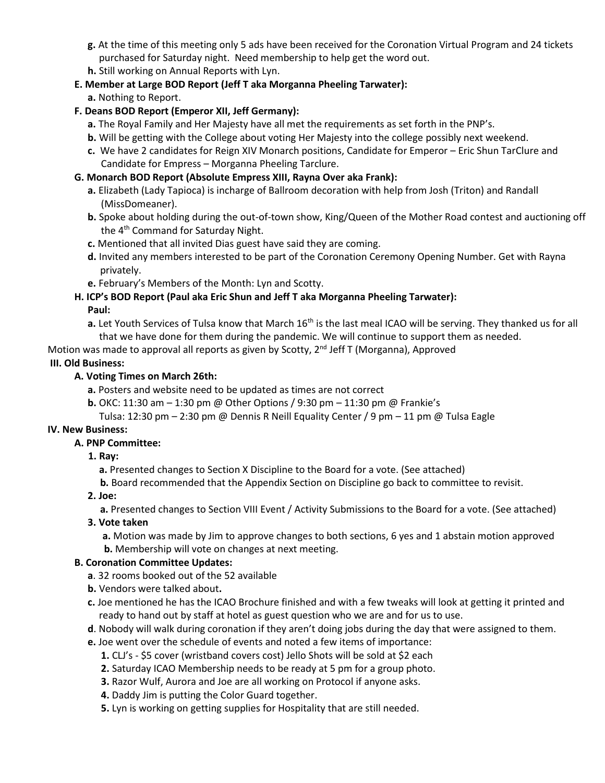- **g.** At the time of this meeting only 5 ads have been received for the Coronation Virtual Program and 24 tickets purchased for Saturday night. Need membership to help get the word out.
- **h.** Still working on Annual Reports with Lyn.
- **E. Member at Large BOD Report (Jeff T aka Morganna Pheeling Tarwater): a.** Nothing to Report.

# **F. Deans BOD Report (Emperor XII, Jeff Germany):**

- **a.** The Royal Family and Her Majesty have all met the requirements as set forth in the PNP's.
- **b.** Will be getting with the College about voting Her Majesty into the college possibly next weekend.
- **c.** We have 2 candidates for Reign XIV Monarch positions, Candidate for Emperor Eric Shun TarClure and Candidate for Empress – Morganna Pheeling Tarclure.

#### **G. Monarch BOD Report (Absolute Empress XIII, Rayna Over aka Frank):**

- **a.** Elizabeth (Lady Tapioca) is incharge of Ballroom decoration with help from Josh (Triton) and Randall (MissDomeaner).
- **b.** Spoke about holding during the out-of-town show, King/Queen of the Mother Road contest and auctioning off the  $4<sup>th</sup>$  Command for Saturday Night.
- **c.** Mentioned that all invited Dias guest have said they are coming.
- **d.** Invited any members interested to be part of the Coronation Ceremony Opening Number. Get with Rayna privately.
- **e.** February's Members of the Month: Lyn and Scotty.

# **H. ICP's BOD Report (Paul aka Eric Shun and Jeff T aka Morganna Pheeling Tarwater):**

#### **Paul:**

**a.** Let Youth Services of Tulsa know that March 16<sup>th</sup> is the last meal ICAO will be serving. They thanked us for all that we have done for them during the pandemic. We will continue to support them as needed.

Motion was made to approval all reports as given by Scotty, 2<sup>nd</sup> Jeff T (Morganna), Approved

## **III. Old Business:**

## **A. Voting Times on March 26th:**

**a.** Posters and website need to be updated as times are not correct

**b.** OKC: 11:30 am – 1:30 pm @ Other Options / 9:30 pm – 11:30 pm @ Frankie's

Tulsa: 12:30 pm – 2:30 pm @ Dennis R Neill Equality Center / 9 pm – 11 pm @ Tulsa Eagle

## **IV. New Business:**

## **A. PNP Committee:**

 **1. Ray:**

**a.** Presented changes to Section X Discipline to the Board for a vote. (See attached)

**b.** Board recommended that the Appendix Section on Discipline go back to committee to revisit.

## **2. Joe:**

**a.** Presented changes to Section VIII Event / Activity Submissions to the Board for a vote. (See attached)

## **3. Vote taken**

 **a.** Motion was made by Jim to approve changes to both sections, 6 yes and 1 abstain motion approved

 **b.** Membership will vote on changes at next meeting.

## **B. Coronation Committee Updates:**

- **a**. 32 rooms booked out of the 52 available
- **b.** Vendors were talked about**.**
- **c.** Joe mentioned he has the ICAO Brochure finished and with a few tweaks will look at getting it printed and ready to hand out by staff at hotel as guest question who we are and for us to use.
- **d**. Nobody will walk during coronation if they aren't doing jobs during the day that were assigned to them.
- **e.** Joe went over the schedule of events and noted a few items of importance:
	- **1.** CLJ's \$5 cover (wristband covers cost) Jello Shots will be sold at \$2 each
	- **2.** Saturday ICAO Membership needs to be ready at 5 pm for a group photo.
	- **3.** Razor Wulf, Aurora and Joe are all working on Protocol if anyone asks.
	- **4.** Daddy Jim is putting the Color Guard together.
	- **5.** Lyn is working on getting supplies for Hospitality that are still needed.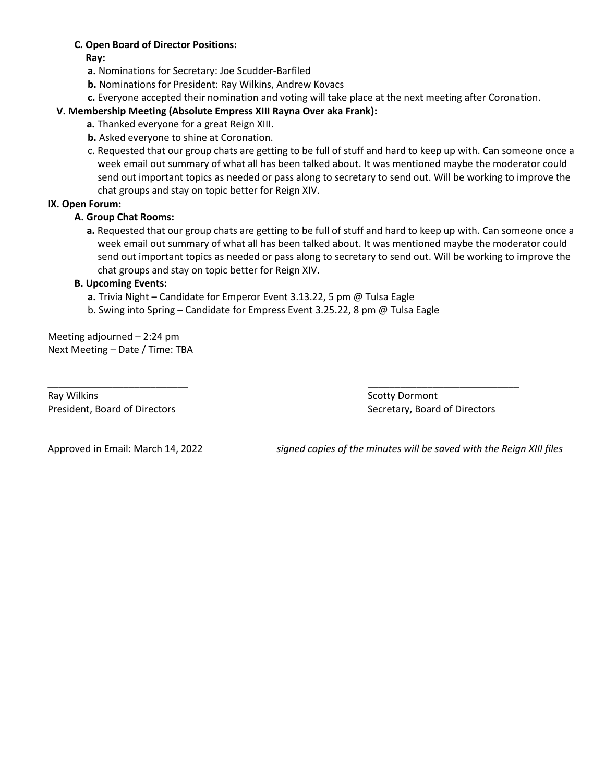#### **C. Open Board of Director Positions:**

**Ray:**

**a.** Nominations for Secretary: Joe Scudder-Barfiled

**b.** Nominations for President: Ray Wilkins, Andrew Kovacs

**c.** Everyone accepted their nomination and voting will take place at the next meeting after Coronation.

## **V. Membership Meeting (Absolute Empress XIII Rayna Over aka Frank):**

 **a.** Thanked everyone for a great Reign XIII.

- **b.** Asked everyone to shine at Coronation.
- c. Requested that our group chats are getting to be full of stuff and hard to keep up with. Can someone once a week email out summary of what all has been talked about. It was mentioned maybe the moderator could send out important topics as needed or pass along to secretary to send out. Will be working to improve the chat groups and stay on topic better for Reign XIV.

#### **IX. Open Forum:**

#### **A. Group Chat Rooms:**

 **a.** Requested that our group chats are getting to be full of stuff and hard to keep up with. Can someone once a week email out summary of what all has been talked about. It was mentioned maybe the moderator could send out important topics as needed or pass along to secretary to send out. Will be working to improve the chat groups and stay on topic better for Reign XIV.

#### **B. Upcoming Events:**

**a.** Trivia Night – Candidate for Emperor Event 3.13.22, 5 pm @ Tulsa Eagle

b. Swing into Spring – Candidate for Empress Event 3.25.22, 8 pm @ Tulsa Eagle

\_\_\_\_\_\_\_\_\_\_\_\_\_\_\_\_\_\_\_\_\_\_\_\_\_\_ \_\_\_\_\_\_\_\_\_\_\_\_\_\_\_\_\_\_\_\_\_\_\_\_\_\_\_\_

Meeting adjourned – 2:24 pm Next Meeting – Date / Time: TBA

Ray Wilkins **Scotty Dormont** President, Board of Directors **Secretary, Board of Directors** Secretary, Board of Directors

Approved in Email: March 14, 2022 *signed copies of the minutes will be saved with the Reign XIII files*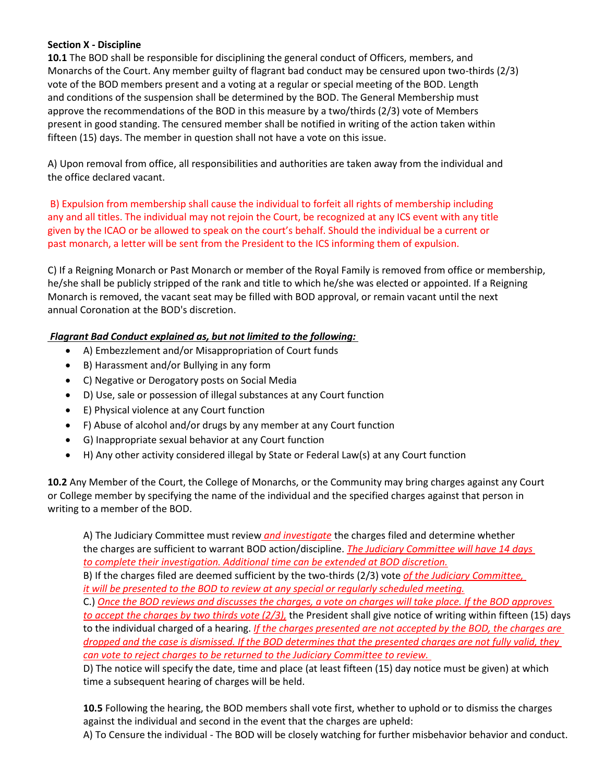#### **Section X - Discipline**

**10.1** The BOD shall be responsible for disciplining the general conduct of Officers, members, and Monarchs of the Court. Any member guilty of flagrant bad conduct may be censured upon two-thirds (2/3) vote of the BOD members present and a voting at a regular or special meeting of the BOD. Length and conditions of the suspension shall be determined by the BOD. The General Membership must approve the recommendations of the BOD in this measure by a two/thirds (2/3) vote of Members present in good standing. The censured member shall be notified in writing of the action taken within fifteen (15) days. The member in question shall not have a vote on this issue.

A) Upon removal from office, all responsibilities and authorities are taken away from the individual and the office declared vacant.

B) Expulsion from membership shall cause the individual to forfeit all rights of membership including any and all titles. The individual may not rejoin the Court, be recognized at any ICS event with any title given by the ICAO or be allowed to speak on the court's behalf. Should the individual be a current or past monarch, a letter will be sent from the President to the ICS informing them of expulsion.

C) If a Reigning Monarch or Past Monarch or member of the Royal Family is removed from office or membership, he/she shall be publicly stripped of the rank and title to which he/she was elected or appointed. If a Reigning Monarch is removed, the vacant seat may be filled with BOD approval, or remain vacant until the next annual Coronation at the BOD's discretion.

## *Flagrant Bad Conduct explained as, but not limited to the following:*

- A) Embezzlement and/or Misappropriation of Court funds
- B) Harassment and/or Bullying in any form
- C) Negative or Derogatory posts on Social Media
- D) Use, sale or possession of illegal substances at any Court function
- E) Physical violence at any Court function
- F) Abuse of alcohol and/or drugs by any member at any Court function
- G) Inappropriate sexual behavior at any Court function
- H) Any other activity considered illegal by State or Federal Law(s) at any Court function

**10.2** Any Member of the Court, the College of Monarchs, or the Community may bring charges against any Court or College member by specifying the name of the individual and the specified charges against that person in writing to a member of the BOD.

A) The Judiciary Committee must review *and investigate* the charges filed and determine whether the charges are sufficient to warrant BOD action/discipline. *The Judiciary Committee will have 14 days to complete their investigation. Additional time can be extended at BOD discretion.*

B) If the charges filed are deemed sufficient by the two-thirds (2/3) vote *of the Judiciary Committee, it will be presented to the BOD to review at any special or regularly scheduled meeting.*

C.) *Once the BOD reviews and discusses the charges, a vote on charges will take place. If the BOD approves to accept the charges by two thirds vote (2/3),* the President shall give notice of writing within fifteen (15) days to the individual charged of a hearing. *If the charges presented are not accepted by the BOD, the charges are dropped and the case is dismissed. If the BOD determines that the presented charges are not fully valid, they can vote to reject charges to be returned to the Judiciary Committee to review.* 

D) The notice will specify the date, time and place (at least fifteen (15) day notice must be given) at which time a subsequent hearing of charges will be held.

**10.5** Following the hearing, the BOD members shall vote first, whether to uphold or to dismiss the charges against the individual and second in the event that the charges are upheld:

A) To Censure the individual - The BOD will be closely watching for further misbehavior behavior and conduct.